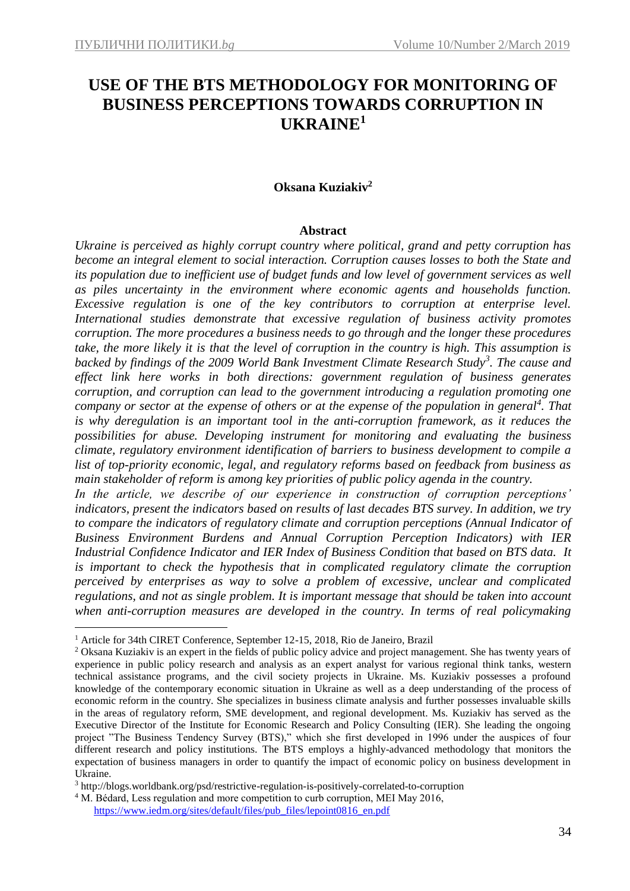# **USE OF THE BTS METHODOLOGY FOR MONITORING OF BUSINESS PERCEPTIONS TOWARDS CORRUPTION IN UKRAINE<sup>1</sup>**

## **Oksana Kuziakiv<sup>2</sup>**

#### **Abstract**

*Ukraine is perceived as highly corrupt country where political, grand and petty corruption has become an integral element to social interaction. Corruption causes losses to both the State and its population due to inefficient use of budget funds and low level of government services as well as piles uncertainty in the environment where economic agents and households function. Excessive regulation is one of the key contributors to corruption at enterprise level. International studies demonstrate that excessive regulation of business activity promotes corruption. The more procedures a business needs to go through and the longer these procedures take, the more likely it is that the level of corruption in the country is high. This assumption is backed by findings of the 2009 World Bank Investment Climate Research Study<sup>3</sup> . The cause and effect link here works in both directions: government regulation of business generates corruption, and corruption can lead to the government introducing a regulation promoting one company or sector at the expense of others or at the expense of the population in general<sup>4</sup> . That is why deregulation is an important tool in the anti-corruption framework, as it reduces the possibilities for abuse. Developing instrument for monitoring and evaluating the business climate, regulatory environment identification of barriers to business development to compile a list of top-priority economic, legal, and regulatory reforms based on feedback from business as main stakeholder of reform is among key priorities of public policy agenda in the country.* 

*In the article, we describe of our experience in construction of corruption perceptions' indicators, present the indicators based on results of last decades BTS survey. In addition, we try to compare the indicators of regulatory climate and corruption perceptions (Annual Indicator of Business Environment Burdens and Annual Corruption Perception Indicators) with IER Industrial Confidence Indicator and IER Index of Business Condition that based on BTS data. It is important to check the hypothesis that in complicated regulatory climate the corruption perceived by enterprises as way to solve a problem of excessive, unclear and complicated regulations, and not as single problem. It is important message that should be taken into account when anti-corruption measures are developed in the country. In terms of real policymaking* 

<u>.</u>

<sup>&</sup>lt;sup>1</sup> Article for 34th CIRET Conference, September 12-15, 2018, Rio de Janeiro, Brazil

<sup>&</sup>lt;sup>2</sup> Oksana Kuziakiv is an expert in the fields of public policy advice and project management. She has twenty years of experience in public policy research and analysis as an expert analyst for various regional think tanks, western technical assistance programs, and the civil society projects in Ukraine. Ms. Kuziakiv possesses a profound knowledge of the contemporary economic situation in Ukraine as well as a deep understanding of the process of economic reform in the country. She specializes in business climate analysis and further possesses invaluable skills in the areas of regulatory reform, SME development, and regional development. Ms. Kuziakiv has served as the Executive Director of the Institute for Economic Research and Policy Consulting (IER). She leading the ongoing project "The Business Tendency Survey (BTS)," which she first developed in 1996 under the auspices of four different research and policy institutions. The BTS employs a highly-advanced methodology that monitors the expectation of business managers in order to quantify the impact of economic policy on business development in Ukraine.

<sup>3</sup> http://blogs.worldbank.org/psd/restrictive-regulation-is-positively-correlated-to-corruption

<sup>&</sup>lt;sup>4</sup> M. Bédard, Less regulation and more competition to curb corruption, MEI May 2016,

[https://www.iedm.org/sites/default/files/pub\\_files/lepoint0816\\_en.pdf](https://www.iedm.org/sites/default/files/pub_files/lepoint0816_en.pdf)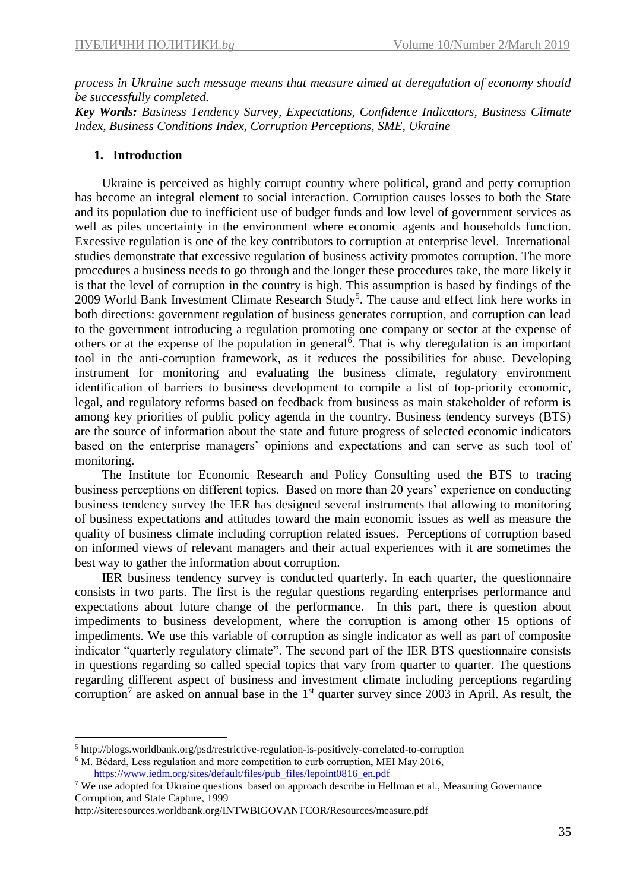*process in Ukraine such message means that measure aimed at deregulation of economy should be successfully completed.*

*Key Words: Business Tendency Survey, Expectations, Confidence Indicators, Business Climate Index, Business Conditions Index, Corruption Perceptions, SME, Ukraine* 

### **1. Introduction**

Ukraine is perceived as highly corrupt country where political, grand and petty corruption has become an integral element to social interaction. Corruption causes losses to both the State and its population due to inefficient use of budget funds and low level of government services as well as piles uncertainty in the environment where economic agents and households function. Excessive regulation is one of the key contributors to corruption at enterprise level. International studies demonstrate that excessive regulation of business activity promotes corruption. The more procedures a business needs to go through and the longer these procedures take, the more likely it is that the level of corruption in the country is high. This assumption is based by findings of the 2009 World Bank Investment Climate Research Study<sup>5</sup>. The cause and effect link here works in both directions: government regulation of business generates corruption, and corruption can lead to the government introducing a regulation promoting one company or sector at the expense of others or at the expense of the population in general<sup>6</sup>. That is why deregulation is an important tool in the anti-corruption framework, as it reduces the possibilities for abuse. Developing instrument for monitoring and evaluating the business climate, regulatory environment identification of barriers to business development to compile a list of top-priority economic, legal, and regulatory reforms based on feedback from business as main stakeholder of reform is among key priorities of public policy agenda in the country. Business tendency surveys (BTS) are the source of information about the state and future progress of selected economic indicators based on the enterprise managers' opinions and expectations and can serve as such tool of monitoring.

The Institute for Economic Research and Policy Consulting used the BTS to tracing business perceptions on different topics. Based on more than 20 years' experience on conducting business tendency survey the IER has designed several instruments that allowing to monitoring of business expectations and attitudes toward the main economic issues as well as measure the quality of business climate including corruption related issues. Perceptions of corruption based on informed views of relevant managers and their actual experiences with it are sometimes the best way to gather the information about corruption.

IER business tendency survey is conducted quarterly. In each quarter, the questionnaire consists in two parts. The first is the regular questions regarding enterprises performance and expectations about future change of the performance. In this part, there is question about impediments to business development, where the corruption is among other 15 options of impediments. We use this variable of corruption as single indicator as well as part of composite indicator "quarterly regulatory climate". The second part of the IER BTS questionnaire consists in questions regarding so called special topics that vary from quarter to quarter. The questions regarding different aspect of business and investment climate including perceptions regarding corruption<sup>7</sup> are asked on annual base in the  $1<sup>st</sup>$  quarter survey since 2003 in April. As result, the

<u>.</u>

<sup>5</sup> http://blogs.worldbank.org/psd/restrictive-regulation-is-positively-correlated-to-corruption

<sup>&</sup>lt;sup>6</sup> M. Bédard, Less regulation and more competition to curb corruption, MEI May 2016,

[https://www.iedm.org/sites/default/files/pub\\_files/lepoint0816\\_en.pdf](https://www.iedm.org/sites/default/files/pub_files/lepoint0816_en.pdf) 

<sup>7</sup> We use adopted for Ukraine questions based on approach describe in Hellman et al., Measuring Governance Corruption, and State Capture, 1999

http://siteresources.worldbank.org/INTWBIGOVANTCOR/Resources/measure.pdf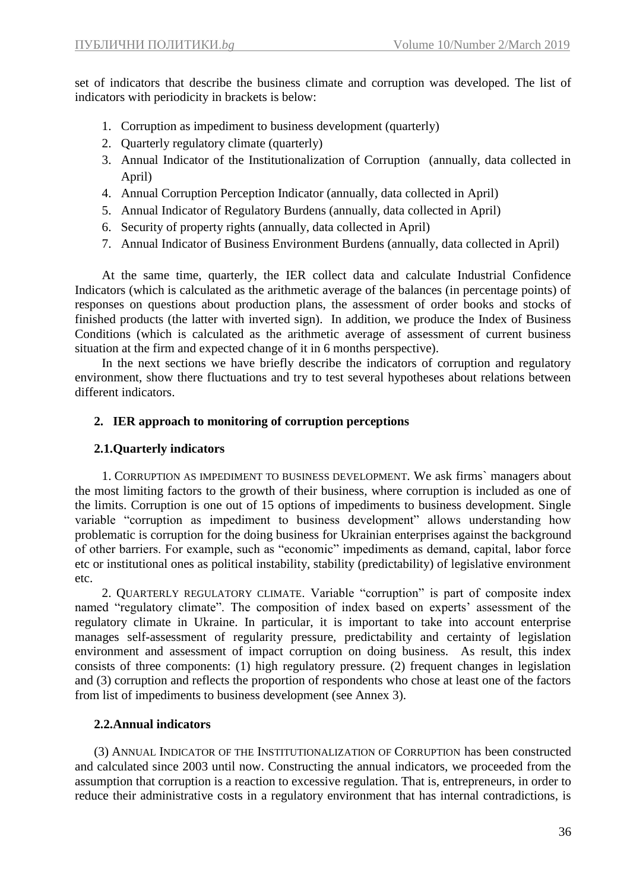set of indicators that describe the business climate and corruption was developed. The list of indicators with periodicity in brackets is below:

- 1. Corruption as impediment to business development (quarterly)
- 2. Quarterly regulatory climate (quarterly)
- 3. Annual Indicator of the Institutionalization of Corruption (annually, data collected in April)
- 4. Annual Corruption Perception Indicator (annually, data collected in April)
- 5. Annual Indicator of Regulatory Burdens (annually, data collected in April)
- 6. Security of property rights (annually, data collected in April)
- 7. Annual Indicator of Business Environment Burdens (annually, data collected in April)

At the same time, quarterly, the IER collect data and calculate Industrial Confidence Indicators (which is calculated as the arithmetic average of the balances (in percentage points) of responses on questions about production plans, the assessment of order books and stocks of finished products (the latter with inverted sign). In addition, we produce the Index of Business Conditions (which is calculated as the arithmetic average of assessment of current business situation at the firm and expected change of it in 6 months perspective).

In the next sections we have briefly describe the indicators of corruption and regulatory environment, show there fluctuations and try to test several hypotheses about relations between different indicators.

# **2. IER approach to monitoring of corruption perceptions**

# **2.1.Quarterly indicators**

1. CORRUPTION AS IMPEDIMENT TO BUSINESS DEVELOPMENT. We ask firms` managers about the most limiting factors to the growth of their business, where corruption is included as one of the limits. Corruption is one out of 15 options of impediments to business development. Single variable "corruption as impediment to business development" allows understanding how problematic is corruption for the doing business for Ukrainian enterprises against the background of other barriers. For example, such as "economic" impediments as demand, capital, labor force etc or institutional ones as political instability, stability (predictability) of legislative environment etc.

2. QUARTERLY REGULATORY CLIMATE. Variable "corruption" is part of composite index named "regulatory climate". The composition of index based on experts' assessment of the regulatory climate in Ukraine. In particular, it is important to take into account enterprise manages self-assessment of regularity pressure, predictability and certainty of legislation environment and assessment of impact corruption on doing business. As result, this index consists of three components: (1) high regulatory pressure. (2) frequent changes in legislation and (3) corruption and reflects the proportion of respondents who chose at least one of the factors from list of impediments to business development (see Annex 3).

# **2.2.Annual indicators**

(3) ANNUAL INDICATOR OF THE INSTITUTIONALIZATION OF CORRUPTION has been constructed and calculated since 2003 until now. Constructing the annual indicators, we proceeded from the assumption that corruption is a reaction to excessive regulation. That is, entrepreneurs, in order to reduce their administrative costs in a regulatory environment that has internal contradictions, is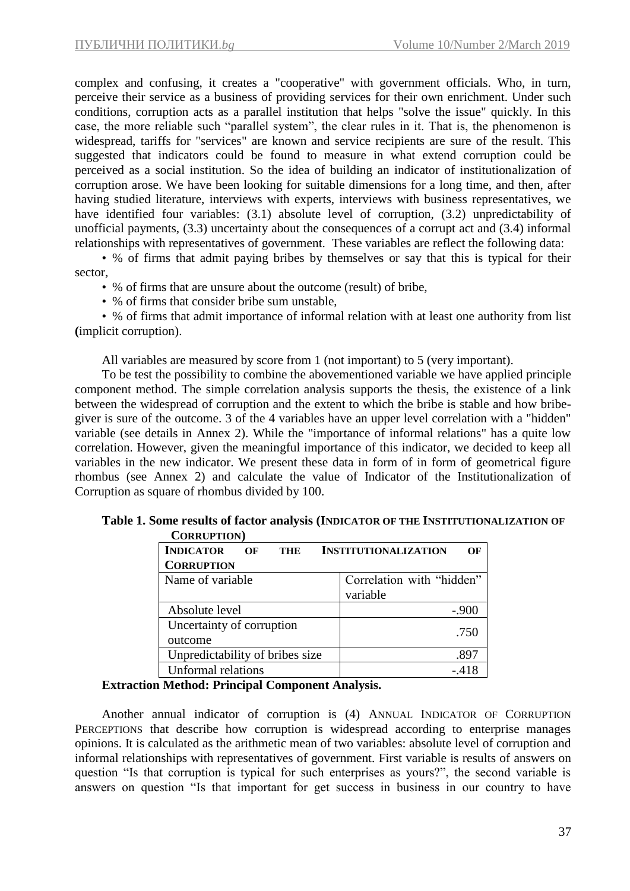complex and confusing, it creates a "cooperative" with government officials. Who, in turn, perceive their service as a business of providing services for their own enrichment. Under such conditions, corruption acts as a parallel institution that helps "solve the issue" quickly. In this case, the more reliable such "parallel system", the clear rules in it. That is, the phenomenon is widespread, tariffs for "services" are known and service recipients are sure of the result. This suggested that indicators could be found to measure in what extend corruption could be perceived as a social institution. So the idea of building an indicator of institutionalization of corruption arose. We have been looking for suitable dimensions for a long time, and then, after having studied literature, interviews with experts, interviews with business representatives, we have identified four variables: (3.1) absolute level of corruption, (3.2) unpredictability of unofficial payments, (3.3) uncertainty about the consequences of a corrupt act and (3.4) informal relationships with representatives of government. These variables are reflect the following data:

• % of firms that admit paying bribes by themselves or say that this is typical for their sector,

- % of firms that are unsure about the outcome (result) of bribe,
- % of firms that consider bribe sum unstable,

• % of firms that admit importance of informal relation with at least one authority from list **(**implicit corruption).

All variables are measured by score from 1 (not important) to 5 (very important).

To be test the possibility to combine the abovementioned variable we have applied principle component method. The simple correlation analysis supports the thesis, the existence of a link between the widespread of corruption and the extent to which the bribe is stable and how bribegiver is sure of the outcome. 3 of the 4 variables have an upper level correlation with a "hidden" variable (see details in Annex 2). While the "importance of informal relations" has a quite low correlation. However, given the meaningful importance of this indicator, we decided to keep all variables in the new indicator. We present these data in form of in form of geometrical figure rhombus (see Annex 2) and calculate the value of Indicator of the Institutionalization of Corruption as square of rhombus divided by 100.

| COMACI TION                     |                                   |
|---------------------------------|-----------------------------------|
| <b>INDICATOR</b><br>OF<br>THE   | <b>INSTITUTIONALIZATION</b><br>ΛF |
| <b>CORRUPTION</b>               |                                   |
| Name of variable                | Correlation with "hidden"         |
|                                 | variable                          |
| Absolute level                  | $-.900$                           |
| Uncertainty of corruption       |                                   |
| outcome                         | .750                              |
| Unpredictability of bribes size | .897                              |
| <b>Unformal relations</b>       | - 418                             |

**Table 1. Some results of factor analysis (INDICATOR OF THE INSTITUTIONALIZATION OF CORRUPTION)**

#### **Extraction Method: Principal Component Analysis.**

Another annual indicator of corruption is (4) ANNUAL INDICATOR OF CORRUPTION PERCEPTIONS that describe how corruption is widespread according to enterprise manages opinions. It is calculated as the arithmetic mean of two variables: absolute level of corruption and informal relationships with representatives of government. First variable is results of answers on question "Is that corruption is typical for such enterprises as yours?", the second variable is answers on question "Is that important for get success in business in our country to have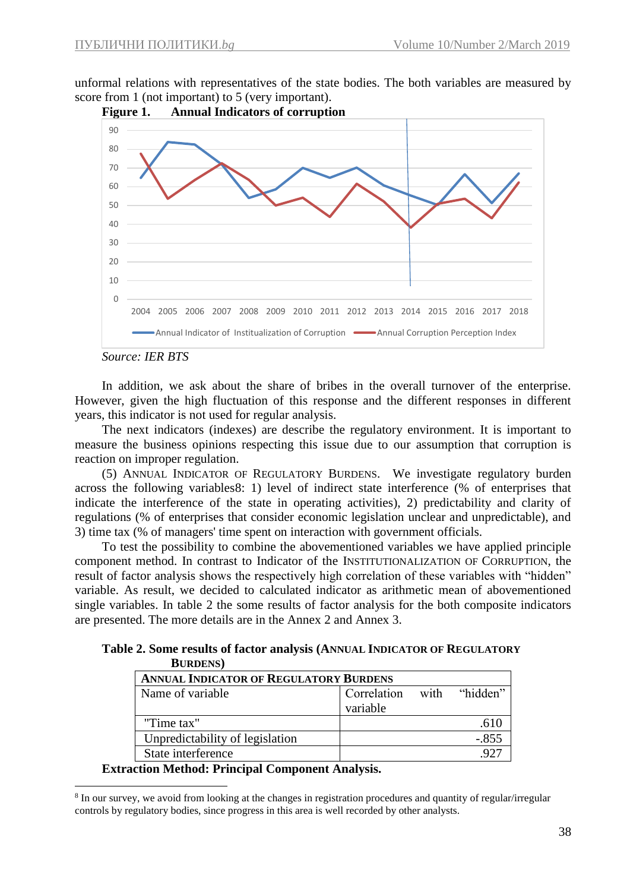unformal relations with representatives of the state bodies. The both variables are measured by score from 1 (not important) to 5 (very important).



*Source: IER BTS*

<u>.</u>

In addition, we ask about the share of bribes in the overall turnover of the enterprise. However, given the high fluctuation of this response and the different responses in different years, this indicator is not used for regular analysis.

The next indicators (indexes) are describe the regulatory environment. It is important to measure the business opinions respecting this issue due to our assumption that corruption is reaction on improper regulation.

(5) ANNUAL INDICATOR OF REGULATORY BURDENS. We investigate regulatory burden across the following variables8: 1) level of indirect state interference (% of enterprises that indicate the interference of the state in operating activities), 2) predictability and clarity of regulations (% of enterprises that consider economic legislation unclear and unpredictable), and 3) time tax (% of managers' time spent on interaction with government officials.

To test the possibility to combine the abovementioned variables we have applied principle component method. In contrast to Indicator of the INSTITUTIONALIZATION OF CORRUPTION, the result of factor analysis shows the respectively high correlation of these variables with "hidden" variable. As result, we decided to calculated indicator as arithmetic mean of abovementioned single variables. In table 2 the some results of factor analysis for the both composite indicators are presented. The more details are in the Annex 2 and Annex 3.

**Table 2. Some results of factor analysis (ANNUAL INDICATOR OF REGULATORY BURDENS)**

| <b>ANNUAL INDICATOR OF REGULATORY BURDENS</b> |                         |      |          |  |  |  |  |
|-----------------------------------------------|-------------------------|------|----------|--|--|--|--|
| Name of variable                              | Correlation<br>variable | with | "hidden" |  |  |  |  |
| "Time tax"                                    |                         |      |          |  |  |  |  |
| Unpredictability of legislation               |                         |      | $-.855$  |  |  |  |  |
| State interference                            |                         |      |          |  |  |  |  |

**Extraction Method: Principal Component Analysis.**

<sup>&</sup>lt;sup>8</sup> In our survey, we avoid from looking at the changes in registration procedures and quantity of regular/irregular controls by regulatory bodies, since progress in this area is well recorded by other analysts.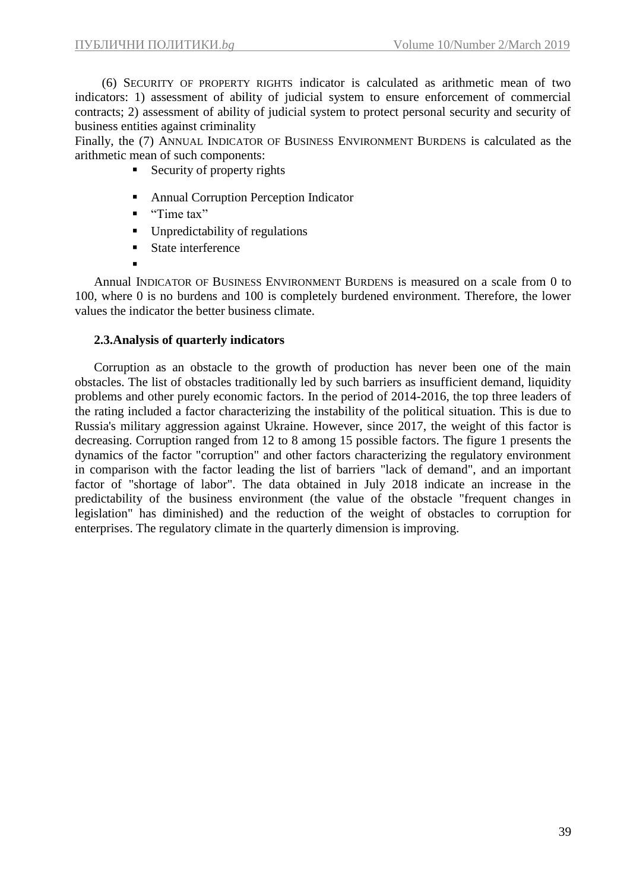(6) SECURITY OF PROPERTY RIGHTS indicator is calculated as arithmetic mean of two indicators: 1) assessment of ability of judicial system to ensure enforcement of commercial contracts; 2) assessment of ability of judicial system to protect personal security and security of business entities against criminality

Finally, the (7) ANNUAL INDICATOR OF BUSINESS ENVIRONMENT BURDENS is calculated as the arithmetic mean of such components:

- $\blacksquare$  Security of property rights
- Annual Corruption Perception Indicator
- "Time tax"
- Unpredictability of regulations
- State interference
- ▪

Annual INDICATOR OF BUSINESS ENVIRONMENT BURDENS is measured on a scale from 0 to 100, where 0 is no burdens and 100 is completely burdened environment. Therefore, the lower values the indicator the better business climate.

### **2.3.Analysis of quarterly indicators**

Corruption as an obstacle to the growth of production has never been one of the main obstacles. The list of obstacles traditionally led by such barriers as insufficient demand, liquidity problems and other purely economic factors. In the period of 2014-2016, the top three leaders of the rating included a factor characterizing the instability of the political situation. This is due to Russia's military aggression against Ukraine. However, since 2017, the weight of this factor is decreasing. Corruption ranged from 12 to 8 among 15 possible factors. The figure 1 presents the dynamics of the factor "corruption" and other factors characterizing the regulatory environment in comparison with the factor leading the list of barriers "lack of demand", and an important factor of "shortage of labor". The data obtained in July 2018 indicate an increase in the predictability of the business environment (the value of the obstacle "frequent changes in legislation" has diminished) and the reduction of the weight of obstacles to corruption for enterprises. The regulatory climate in the quarterly dimension is improving.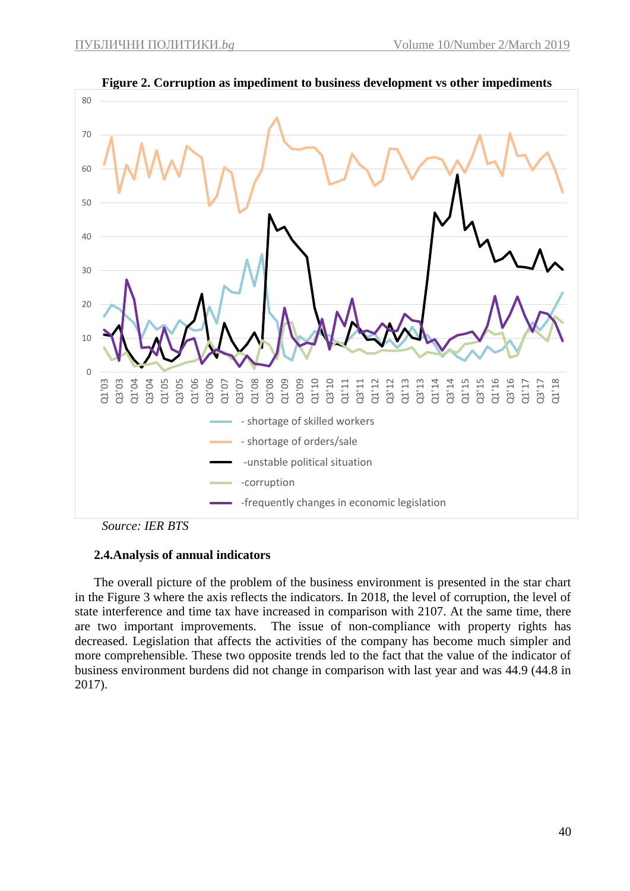

**Figure 2. Corruption as impediment to business development vs other impediments**

*Source: IER BTS*

#### **2.4.Analysis of annual indicators**

The overall picture of the problem of the business environment is presented in the star chart in the Figure 3 where the axis reflects the indicators. In 2018, the level of corruption, the level of state interference and time tax have increased in comparison with 2107. At the same time, there are two important improvements. The issue of non-compliance with property rights has decreased. Legislation that affects the activities of the company has become much simpler and more comprehensible. These two opposite trends led to the fact that the value of the indicator of business environment burdens did not change in comparison with last year and was 44.9 (44.8 in 2017).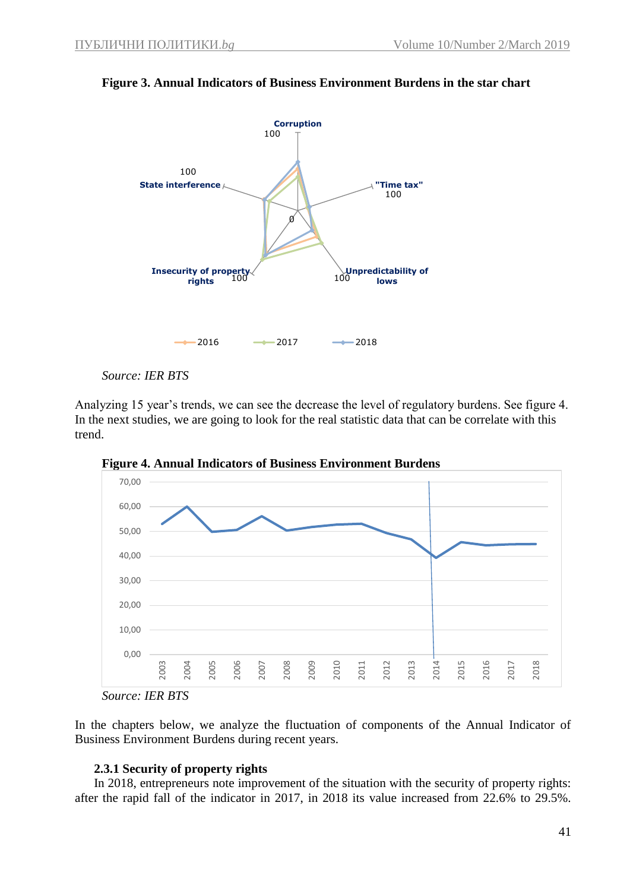

### **Figure 3. Annual Indicators of Business Environment Burdens in the star chart**

*Source: IER BTS*

Analyzing 15 year's trends, we can see the decrease the level of regulatory burdens. See figure 4. In the next studies, we are going to look for the real statistic data that can be correlate with this trend.



**Figure 4. Annual Indicators of Business Environment Burdens** 

In the chapters below, we analyze the fluctuation of components of the Annual Indicator of Business Environment Burdens during recent years.

## **2.3.1 Security of property rights**

In 2018, entrepreneurs note improvement of the situation with the security of property rights: after the rapid fall of the indicator in 2017, in 2018 its value increased from 22.6% to 29.5%.

*Source: IER BTS*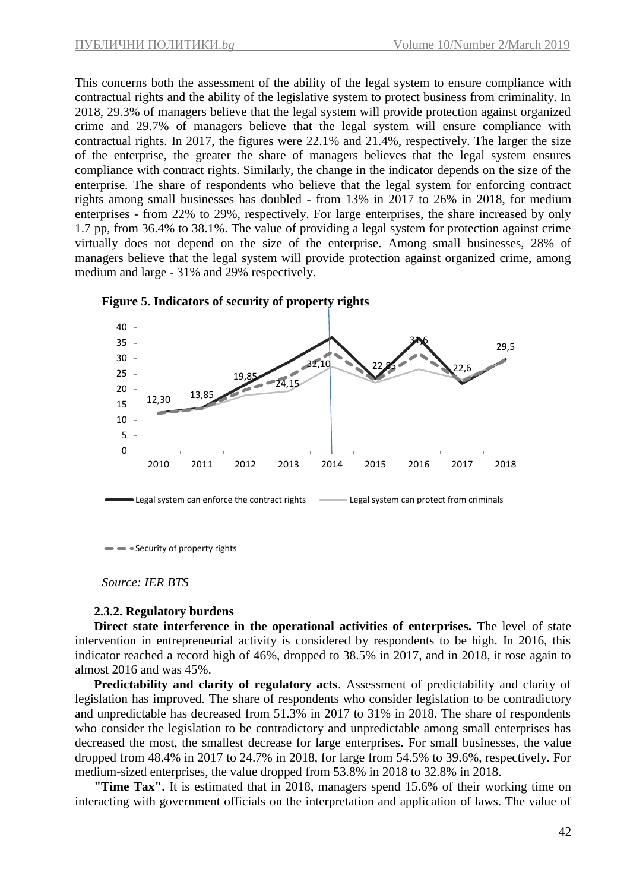This concerns both the assessment of the ability of the legal system to ensure compliance with contractual rights and the ability of the legislative system to protect business from criminality. In 2018, 29.3% of managers believe that the legal system will provide protection against organized crime and 29.7% of managers believe that the legal system will ensure compliance with contractual rights. In 2017, the figures were 22.1% and 21.4%, respectively. The larger the size of the enterprise, the greater the share of managers believes that the legal system ensures compliance with contract rights. Similarly, the change in the indicator depends on the size of the enterprise. The share of respondents who believe that the legal system for enforcing contract rights among small businesses has doubled - from 13% in 2017 to 26% in 2018, for medium enterprises - from 22% to 29%, respectively. For large enterprises, the share increased by only 1.7 pp, from 36.4% to 38.1%. The value of providing a legal system for protection against crime virtually does not depend on the size of the enterprise. Among small businesses, 28% of managers believe that the legal system will provide protection against organized crime, among medium and large - 31% and 29% respectively.





Security of property rights

*Source: IER BTS*

#### **2.3.2. Regulatory burdens**

**Direct state interference in the operational activities of enterprises.** The level of state intervention in entrepreneurial activity is considered by respondents to be high. In 2016, this indicator reached a record high of 46%, dropped to 38.5% in 2017, and in 2018, it rose again to almost 2016 and was 45%.

**Predictability and clarity of regulatory acts**. Assessment of predictability and clarity of legislation has improved. The share of respondents who consider legislation to be contradictory and unpredictable has decreased from 51.3% in 2017 to 31% in 2018. The share of respondents who consider the legislation to be contradictory and unpredictable among small enterprises has decreased the most, the smallest decrease for large enterprises. For small businesses, the value dropped from 48.4% in 2017 to 24.7% in 2018, for large from 54.5% to 39.6%, respectively. For medium-sized enterprises, the value dropped from 53.8% in 2018 to 32.8% in 2018.

**"Time Tax".** It is estimated that in 2018, managers spend 15.6% of their working time on interacting with government officials on the interpretation and application of laws. The value of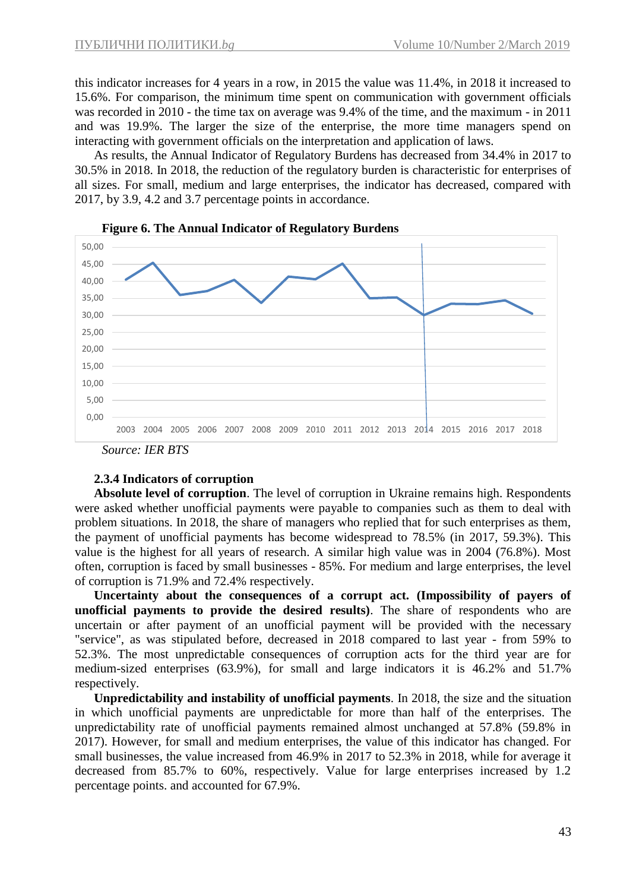this indicator increases for 4 years in a row, in 2015 the value was 11.4%, in 2018 it increased to 15.6%. For comparison, the minimum time spent on communication with government officials was recorded in 2010 - the time tax on average was 9.4% of the time, and the maximum - in 2011 and was 19.9%. The larger the size of the enterprise, the more time managers spend on interacting with government officials on the interpretation and application of laws.

As results, the Annual Indicator of Regulatory Burdens has decreased from 34.4% in 2017 to 30.5% in 2018. In 2018, the reduction of the regulatory burden is characteristic for enterprises of all sizes. For small, medium and large enterprises, the indicator has decreased, compared with 2017, by 3.9, 4.2 and 3.7 percentage points in accordance.





#### **2.3.4 Indicators of corruption**

**Absolute level of corruption**. The level of corruption in Ukraine remains high. Respondents were asked whether unofficial payments were payable to companies such as them to deal with problem situations. In 2018, the share of managers who replied that for such enterprises as them, the payment of unofficial payments has become widespread to 78.5% (in 2017, 59.3%). This value is the highest for all years of research. A similar high value was in 2004 (76.8%). Most often, corruption is faced by small businesses - 85%. For medium and large enterprises, the level of corruption is 71.9% and 72.4% respectively.

**Uncertainty about the consequences of a corrupt act. (Impossibility of payers of unofficial payments to provide the desired results)**. The share of respondents who are uncertain or after payment of an unofficial payment will be provided with the necessary "service", as was stipulated before, decreased in 2018 compared to last year - from 59% to 52.3%. The most unpredictable consequences of corruption acts for the third year are for medium-sized enterprises (63.9%), for small and large indicators it is 46.2% and 51.7% respectively.

**Unpredictability and instability of unofficial payments**. In 2018, the size and the situation in which unofficial payments are unpredictable for more than half of the enterprises. The unpredictability rate of unofficial payments remained almost unchanged at 57.8% (59.8% in 2017). However, for small and medium enterprises, the value of this indicator has changed. For small businesses, the value increased from 46.9% in 2017 to 52.3% in 2018, while for average it decreased from 85.7% to 60%, respectively. Value for large enterprises increased by 1.2 percentage points. and accounted for 67.9%.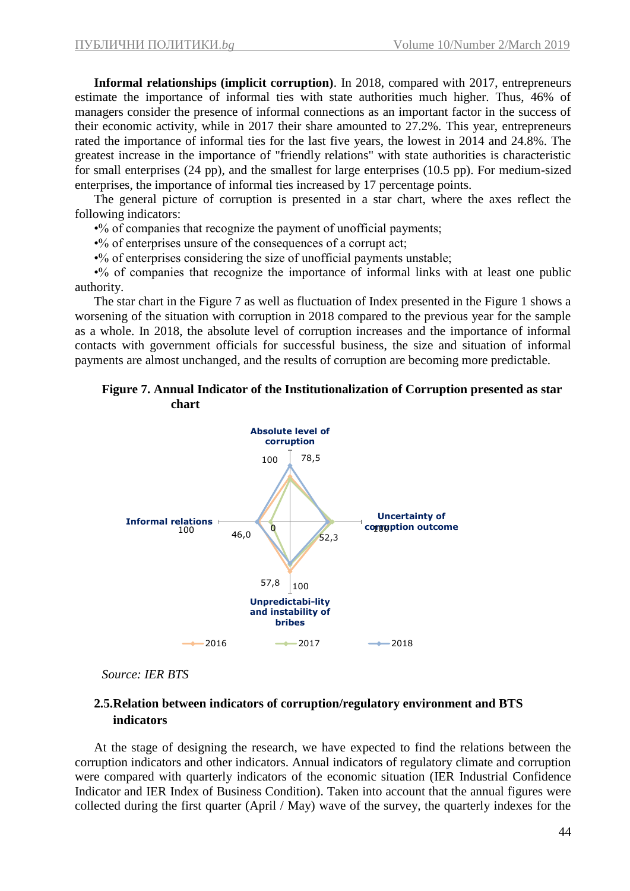**Informal relationships (implicit corruption)**. In 2018, compared with 2017, entrepreneurs estimate the importance of informal ties with state authorities much higher. Thus, 46% of managers consider the presence of informal connections as an important factor in the success of their economic activity, while in 2017 their share amounted to 27.2%. This year, entrepreneurs rated the importance of informal ties for the last five years, the lowest in 2014 and 24.8%. The greatest increase in the importance of "friendly relations" with state authorities is characteristic for small enterprises (24 pp), and the smallest for large enterprises (10.5 pp). For medium-sized enterprises, the importance of informal ties increased by 17 percentage points.

The general picture of corruption is presented in a star chart, where the axes reflect the following indicators:

•% of companies that recognize the payment of unofficial payments;

•% of enterprises unsure of the consequences of a corrupt act;

•% of enterprises considering the size of unofficial payments unstable;

•% of companies that recognize the importance of informal links with at least one public authority.

The star chart in the Figure 7 as well as fluctuation of Index presented in the Figure 1 shows a worsening of the situation with corruption in 2018 compared to the previous year for the sample as a whole. In 2018, the absolute level of corruption increases and the importance of informal contacts with government officials for successful business, the size and situation of informal payments are almost unchanged, and the results of corruption are becoming more predictable.

#### **Figure 7. Annual Indicator of the Institutionalization of Corruption presented as star chart**



*Source: IER BTS*

## **2.5.Relation between indicators of corruption/regulatory environment and BTS indicators**

At the stage of designing the research, we have expected to find the relations between the corruption indicators and other indicators. Annual indicators of regulatory climate and corruption were compared with quarterly indicators of the economic situation (IER Industrial Confidence Indicator and IER Index of Business Condition). Taken into account that the annual figures were collected during the first quarter (April / May) wave of the survey, the quarterly indexes for the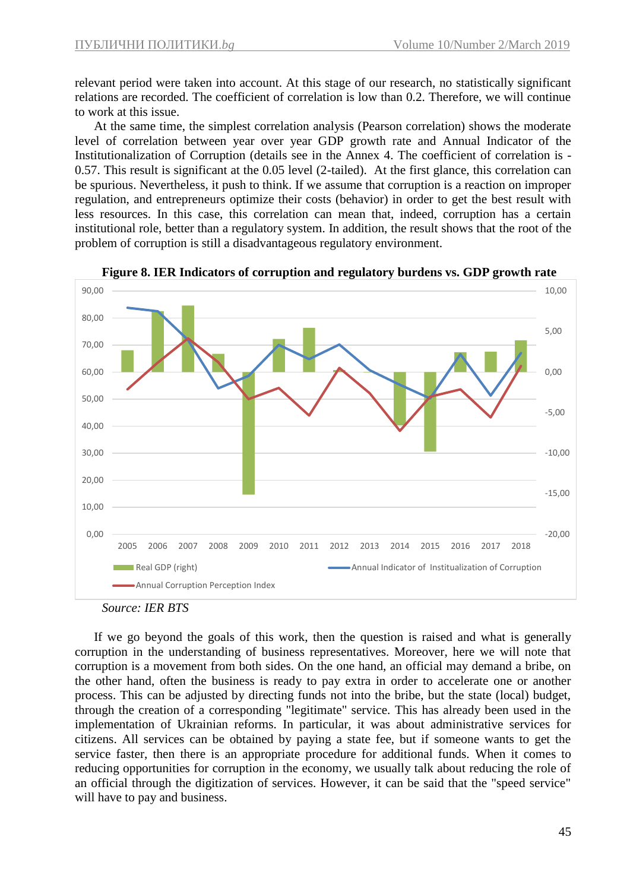relevant period were taken into account. At this stage of our research, no statistically significant relations are recorded. The coefficient of correlation is low than 0.2. Therefore, we will continue to work at this issue.

At the same time, the simplest correlation analysis (Pearson correlation) shows the moderate level of correlation between year over year GDP growth rate and Annual Indicator of the Institutionalization of Corruption (details see in the Annex 4. The coefficient of correlation is - 0.57. This result is significant at the 0.05 level (2-tailed). At the first glance, this correlation can be spurious. Nevertheless, it push to think. If we assume that corruption is a reaction on improper regulation, and entrepreneurs optimize their costs (behavior) in order to get the best result with less resources. In this case, this correlation can mean that, indeed, corruption has a certain institutional role, better than a regulatory system. In addition, the result shows that the root of the problem of corruption is still a disadvantageous regulatory environment.



**Figure 8. IER Indicators of corruption and regulatory burdens vs. GDP growth rate**

If we go beyond the goals of this work, then the question is raised and what is generally corruption in the understanding of business representatives. Moreover, here we will note that corruption is a movement from both sides. On the one hand, an official may demand a bribe, on the other hand, often the business is ready to pay extra in order to accelerate one or another process. This can be adjusted by directing funds not into the bribe, but the state (local) budget, through the creation of a corresponding "legitimate" service. This has already been used in the implementation of Ukrainian reforms. In particular, it was about administrative services for citizens. All services can be obtained by paying a state fee, but if someone wants to get the service faster, then there is an appropriate procedure for additional funds. When it comes to reducing opportunities for corruption in the economy, we usually talk about reducing the role of an official through the digitization of services. However, it can be said that the "speed service" will have to pay and business.

*Source: IER BTS*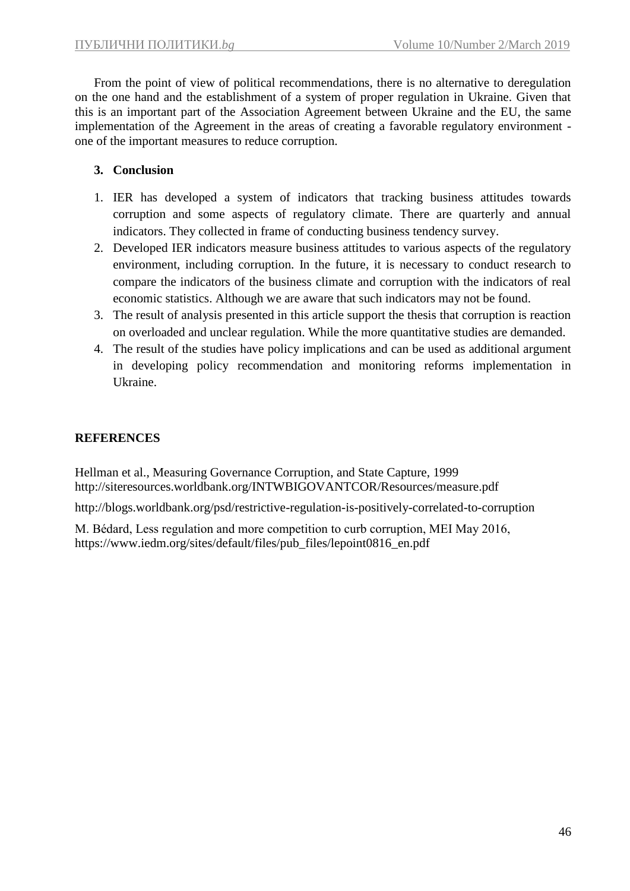From the point of view of political recommendations, there is no alternative to deregulation on the one hand and the establishment of a system of proper regulation in Ukraine. Given that this is an important part of the Association Agreement between Ukraine and the EU, the same implementation of the Agreement in the areas of creating a favorable regulatory environment one of the important measures to reduce corruption.

# **3. Conclusion**

- 1. IER has developed a system of indicators that tracking business attitudes towards corruption and some aspects of regulatory climate. There are quarterly and annual indicators. They collected in frame of conducting business tendency survey.
- 2. Developed IER indicators measure business attitudes to various aspects of the regulatory environment, including corruption. In the future, it is necessary to conduct research to compare the indicators of the business climate and corruption with the indicators of real economic statistics. Although we are aware that such indicators may not be found.
- 3. The result of analysis presented in this article support the thesis that corruption is reaction on overloaded and unclear regulation. While the more quantitative studies are demanded.
- 4. The result of the studies have policy implications and can be used as additional argument in developing policy recommendation and monitoring reforms implementation in Ukraine.

# **REFERENCES**

Hellman et al., Measuring Governance Corruption, and State Capture, 1999 http://siteresources.worldbank.org/INTWBIGOVANTCOR/Resources/measure.pdf

http://blogs.worldbank.org/psd/restrictive-regulation-is-positively-correlated-to-corruption

M. Bédard, Less regulation and more competition to curb corruption, MEI May 2016, https://www.iedm.org/sites/default/files/pub\_files/lepoint0816\_en.pdf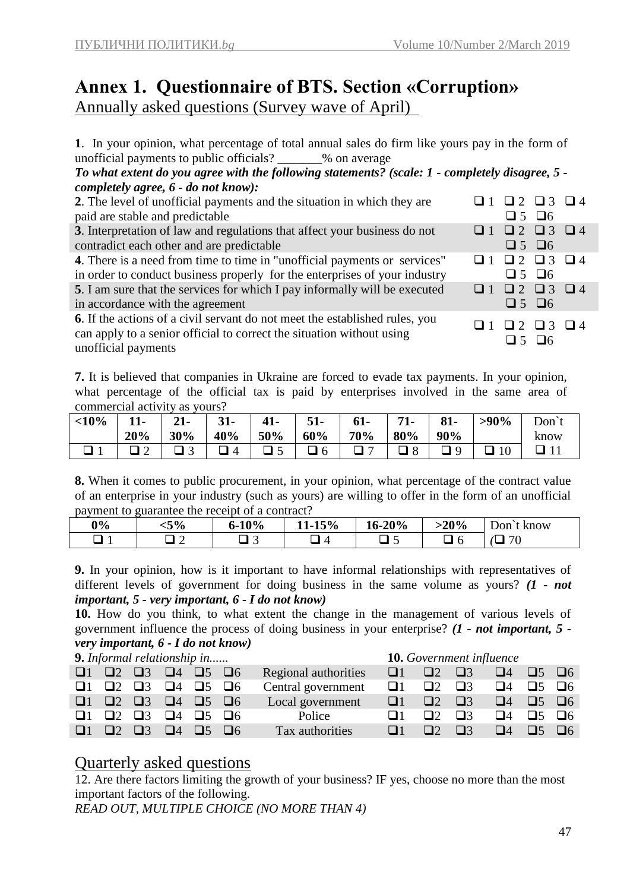# **Annex 1. Questionnaire of BTS. Section «Corruption»** Annually asked questions (Survey wave of April)

**1**. In your opinion, what percentage of total annual sales do firm like yours pay in the form of unofficial payments to public officials?  $%$  % on average

*To what extent do you agree with the following statements? (scale: 1 - completely disagree, 5 completely agree, 6 - do not know):*

| 2. The level of unofficial payments and the situation in which they are          | $\Box 2 \quad \Box 3 \quad \Box 4$              |
|----------------------------------------------------------------------------------|-------------------------------------------------|
| paid are stable and predictable                                                  | $\Box$ 5 $\Box$ 6                               |
| 3. Interpretation of law and regulations that affect your business do not        | $\Box 1 \quad \Box 2 \quad \Box 3 \quad \Box 4$ |
| contradict each other and are predictable                                        | $\Box$ 5 $\Box$ 6                               |
| <b>4.</b> There is a need from time to time in "unofficial payments or services" | $\Box 2 \quad \Box 3 \quad \Box 4$              |
| in order to conduct business properly for the enterprises of your industry       | $\Box$ 5 $\Box$ 6                               |
| 5. I am sure that the services for which I pay informally will be executed       | $\Box 1 \quad \Box 2 \quad \Box 3 \quad \Box 4$ |
| in accordance with the agreement                                                 | $\Box$ 5 $\Box$ 6                               |
| 6. If the actions of a civil servant do not meet the established rules, you      | $\Box 2 \Box 3 \Box 4$                          |
| can apply to a senior official to correct the situation without using            | $\Box$ 5 $\Box$ 6                               |
| unofficial payments                                                              |                                                 |

**7.** It is believed that companies in Ukraine are forced to evade tax payments. In your opinion, what percentage of the official tax is paid by enterprises involved in the same area of commercial activity as yours?

| <10%   | $11-$ | $21 -$ | $31-$    |     | $51-$ | $61-$ | $71-$      | $81-$ | $>90\%$ | Don <sup>'</sup> |
|--------|-------|--------|----------|-----|-------|-------|------------|-------|---------|------------------|
|        | 20%   | 30%    | 40%      | 50% | 60%   | 70%   | 80%        | 90%   |         | know             |
| $\Box$ |       |        | $\Delta$ |     | 6     |       | $\sqrt{3}$ |       |         |                  |

**8.** When it comes to public procurement, in your opinion, what percentage of the contract value of an enterprise in your industry (such as yours) are willing to offer in the form of an unofficial payment to guarantee the receipt of a contract?

| $0\%$ | 5%> | 10% | 15%<br>.<br>⊥ພ | 16-20%                                 | $-20%$ | know<br>J∩n |
|-------|-----|-----|----------------|----------------------------------------|--------|-------------|
|       |     |     |                | $\overline{\phantom{1}}$<br>. .<br>. . | $\sim$ | 70          |

**9.** In your opinion, how is it important to have informal relationships with representatives of different levels of government for doing business in the same volume as yours? *(1 - not important, 5 - very important, 6 - I do not know)*

**10.** How do you think, to what extent the change in the management of various levels of government influence the process of doing business in your enterprise? *(1 - not important, 5 very important, 6 - I do not know)*

| 9. Informal relationship in |  |                            |                                                       |                                     |                      |          |                            | <b>10.</b> Government influence |                                     |                   |  |
|-----------------------------|--|----------------------------|-------------------------------------------------------|-------------------------------------|----------------------|----------|----------------------------|---------------------------------|-------------------------------------|-------------------|--|
|                             |  |                            | $\Box$ 1 $\Box$ 2 $\Box$ 3 $\Box$ 4 $\Box$ 5 $\Box$ 6 |                                     | Regional authorities |          | $\Box$ 1 $\Box$ 2 $\Box$ 3 |                                 | $\square$ 4 $\square$ 5 $\square$ 6 |                   |  |
|                             |  |                            | $\Box$ 1 $\Box$ 2 $\Box$ 3 $\Box$ 4 $\Box$ 5 $\Box$ 6 |                                     | Central government   |          | $\Box$ 1 $\Box$ 2 $\Box$ 3 |                                 | $\square$ 4 $\square$ 5 $\square$ 6 |                   |  |
|                             |  |                            | $\Box$ 1 $\Box$ 2 $\Box$ 3 $\Box$ 4 $\Box$ 5 $\Box$ 6 |                                     | Local government     |          | $\Box$ 1 $\Box$ 2 $\Box$ 3 |                                 | $\square$ 4 $\square$ 5 $\square$ 6 |                   |  |
|                             |  | $\Box 1$ $\Box 2$ $\Box 3$ |                                                       | $\square$ 4 $\square$ 5 $\square$ 6 | Police               | 111      | $\Box$                     | $\Box$ 3                        | $\Box 4$                            | $\Box$ 5 $\Box$ 6 |  |
|                             |  |                            | $\Box$ 1 $\Box$ 2 $\Box$ 3 $\Box$ 4 $\Box$ 5 $\Box$ 6 |                                     | Tax authorities      | $\Box$ 1 | $\Box$                     | $\Box$ 3                        | $\Box 4$                            | $\Box$ 5 $\Box$ 6 |  |

# Quarterly asked questions

12. Are there factors limiting the growth of your business? IF yes, choose no more than the most important factors of the following.

*READ OUT, MULTIPLE CHOICE (NO MORE THAN 4)*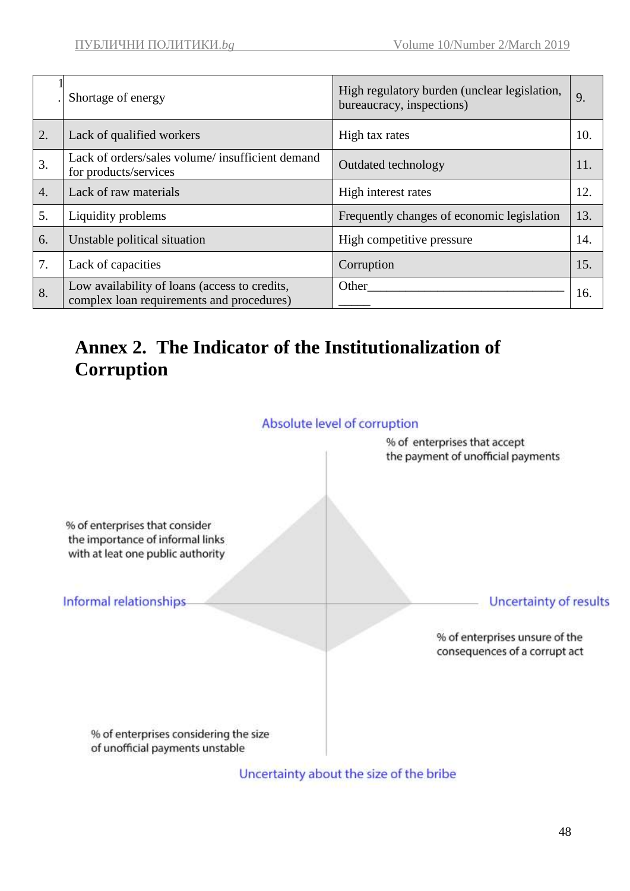|                  | Shortage of energy                                                                         | High regulatory burden (unclear legislation,<br>bureaucracy, inspections) | 9.  |
|------------------|--------------------------------------------------------------------------------------------|---------------------------------------------------------------------------|-----|
| 2.               | Lack of qualified workers                                                                  | High tax rates                                                            | 10. |
| 3.               | Lack of orders/sales volume/ insufficient demand<br>for products/services                  | Outdated technology                                                       | 11. |
| $\overline{4}$ . | Lack of raw materials                                                                      | High interest rates                                                       | 12. |
| 5.               | Liquidity problems                                                                         | Frequently changes of economic legislation                                | 13. |
| 6.               | Unstable political situation                                                               | High competitive pressure                                                 | 14. |
| 7.               | Lack of capacities                                                                         | Corruption                                                                | 15. |
| 8.               | Low availability of loans (access to credits,<br>complex loan requirements and procedures) | Other                                                                     | 16. |

# **Annex 2. The Indicator of the Institutionalization of Corruption**



Uncertainty about the size of the bribe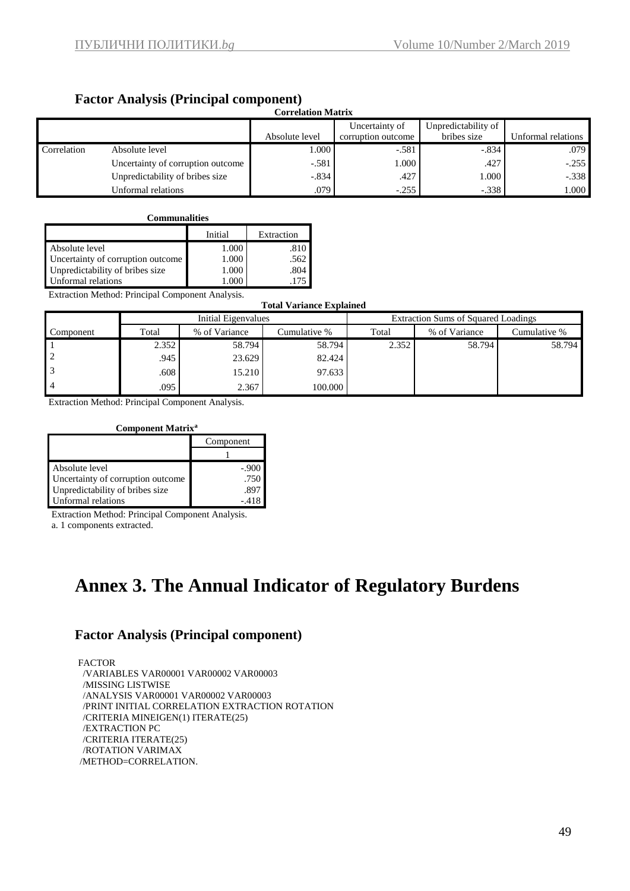# **Factor Analysis (Principal component)**

| $=$ weed there $\frac{1}{2}$ and $\frac{1}{2}$ and $\frac{1}{2}$ and $\frac{1}{2}$ with $\frac{1}{2}$ and $\frac{1}{2}$<br><b>Correlation Matrix</b> |                                   |                |                                      |                                    |                    |  |  |  |  |
|------------------------------------------------------------------------------------------------------------------------------------------------------|-----------------------------------|----------------|--------------------------------------|------------------------------------|--------------------|--|--|--|--|
|                                                                                                                                                      |                                   | Absolute level | Uncertainty of<br>corruption outcome | Unpredictability of<br>bribes size | Unformal relations |  |  |  |  |
| Correlation                                                                                                                                          | Absolute level                    | 1.000          | $-.581$                              | $-.834$                            | .079               |  |  |  |  |
|                                                                                                                                                      | Uncertainty of corruption outcome | $-.581$        | 1.000                                | .427                               | $-.255$            |  |  |  |  |
|                                                                                                                                                      | Unpredictability of bribes size   | $-.834$        | .427                                 | 000.1                              | $-.338$            |  |  |  |  |
|                                                                                                                                                      | Unformal relations                | .079           | $-.255$                              | $-.338$                            | 1.000              |  |  |  |  |

| <b>Communalities</b>              |         |            |  |  |  |  |
|-----------------------------------|---------|------------|--|--|--|--|
|                                   | Initial | Extraction |  |  |  |  |
| Absolute level                    | 1.000   | .810       |  |  |  |  |
| Uncertainty of corruption outcome | 1.000   | .562       |  |  |  |  |
| Unpredictability of bribes size   | 1.000   | .804       |  |  |  |  |
| Unformal relations                |         |            |  |  |  |  |

Extraction Method: Principal Component Analysis.

**Total Variance Explained**

| Total Valiance Explained |       |                     |              |       |                                            |              |  |  |  |
|--------------------------|-------|---------------------|--------------|-------|--------------------------------------------|--------------|--|--|--|
|                          |       | Initial Eigenvalues |              |       | <b>Extraction Sums of Squared Loadings</b> |              |  |  |  |
| Component                | Total | % of Variance       | Cumulative % | Total | % of Variance                              | Cumulative % |  |  |  |
|                          | 2.352 | 58.794              | 58.794       | 2.352 | 58.794                                     | 58.794       |  |  |  |
|                          | .945  | 23.629              | 82.424       |       |                                            |              |  |  |  |
|                          | .608  | 15.210              | 97.633       |       |                                            |              |  |  |  |
|                          | .095  | 2.367               | 100.000      |       |                                            |              |  |  |  |

Extraction Method: Principal Component Analysis.

#### **Component Matrix<sup>a</sup>**

|                                   | Component |
|-----------------------------------|-----------|
|                                   |           |
| Absolute level                    | -.900     |
| Uncertainty of corruption outcome | .750      |
| Unpredictability of bribes size   | .891      |
| Unformal relations                |           |

Extraction Method: Principal Component Analysis.

a. 1 components extracted.

# **Annex 3. The Annual Indicator of Regulatory Burdens**

### **Factor Analysis (Principal component)**

FACTOR /VARIABLES VAR00001 VAR00002 VAR00003 /MISSING LISTWISE /ANALYSIS VAR00001 VAR00002 VAR00003 /PRINT INITIAL CORRELATION EXTRACTION ROTATION /CRITERIA MINEIGEN(1) ITERATE(25) /EXTRACTION PC /CRITERIA ITERATE(25) /ROTATION VARIMAX /METHOD=CORRELATION.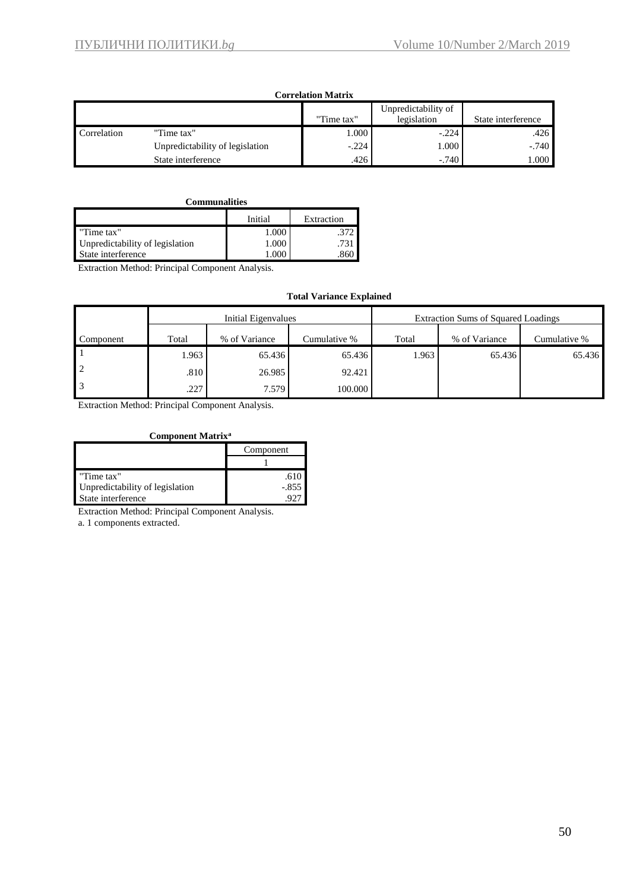| Correlation Matrix |                                 |            |                                    |                    |  |  |  |  |
|--------------------|---------------------------------|------------|------------------------------------|--------------------|--|--|--|--|
|                    |                                 | "Time tax" | Unpredictability of<br>legislation | State interference |  |  |  |  |
| Correlation        | "Time tax"                      | 000.1      | $-.224$                            | .426               |  |  |  |  |
|                    | Unpredictability of legislation | $-.224$    | 1.000                              | $-.740$            |  |  |  |  |
|                    | State interference              | .426       | $-.740$                            | 000.               |  |  |  |  |

#### **Communalities**

|                                 | Initial | Extraction |
|---------------------------------|---------|------------|
| "Time tax"                      | 1.000   |            |
| Unpredictability of legislation | 1.000   | 731        |
| State interference              |         | 860        |

Extraction Method: Principal Component Analysis.

#### **Total Variance Explained**

|           |       | Initial Eigenvalues |              | Extraction Sums of Squared Loadings |               |              |  |
|-----------|-------|---------------------|--------------|-------------------------------------|---------------|--------------|--|
| Component | Total | % of Variance       | Cumulative % | Total                               | % of Variance | Cumulative % |  |
|           | 1.963 | 65.436              | 65.436       | 1.963                               | 65.436        | 65.436       |  |
|           | .810  | 26.985              | 92.421       |                                     |               |              |  |
|           | .227  | 7.579               | 100.000      |                                     |               |              |  |

Extraction Method: Principal Component Analysis.

#### **Component Matrix<sup>a</sup>**

|                                 | Component |  |  |
|---------------------------------|-----------|--|--|
|                                 |           |  |  |
| "Time tax"                      |           |  |  |
| Unpredictability of legislation | $-.855$   |  |  |
| State interference              |           |  |  |

Extraction Method: Principal Component Analysis.

a. 1 components extracted.